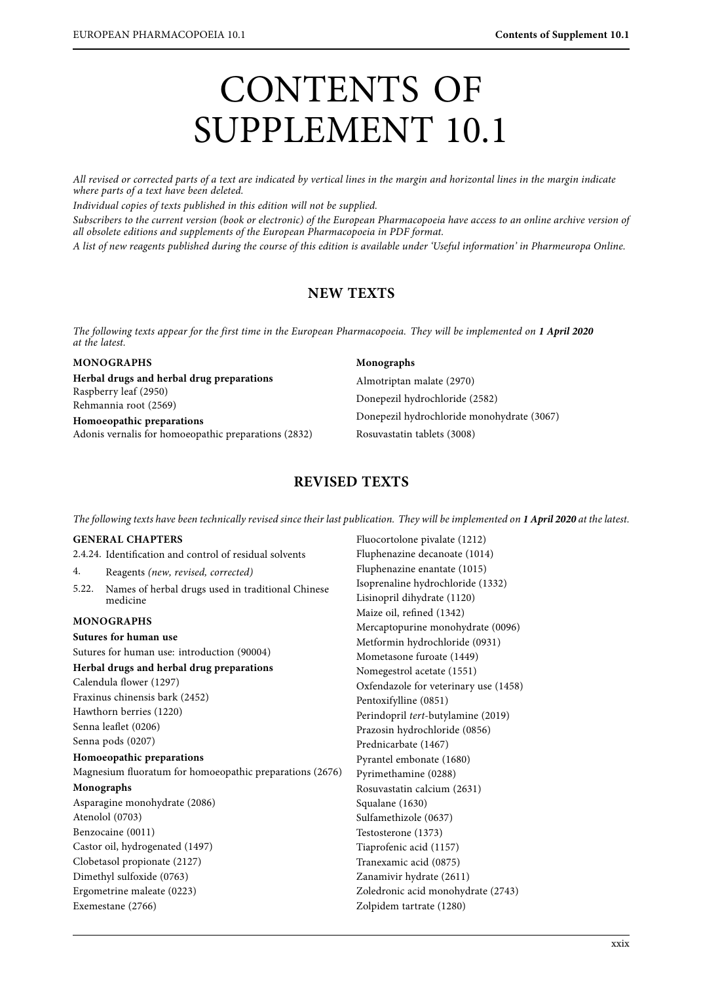# CONTENTS OF SUPPLEMENT 10.1

All revised or corrected parts of a text are indicated by vertical lines in the margin and horizontal lines in the margin indicate where parts of a text have been deleted.

Individual copies of texts published in this edition will not be supplied.

Subscribers to the current version (book or electronic) of the European Pharmacopoeia have access to an online archive version of all obsolete editions and supplements of the European Pharmacopoeia in PDF format.

all obsolete editions and supplements of the European Pharmacopoeia in PDF format. A simulation  $\mathcal{S}_{\text{c}}$  and this edition is available under this edition is available under  $\mathcal{S}_{\text{p}}$  on  $\mathcal{S}_{\text{p}}$  on  $\mathcal{S}_{\text{p}}$  on  $\mathcal{S}_{\text{p}}$  on  $\mathcal{S}_{\text{p}}$  on  $\mathcal{S}_{\text{p}}$  on  $\mathcal{S}_{\text{p}}$  on  $\mathcal{S}_{$ 

# **NEW TEXTS**

The following texts appear for the first time in the European Pharmacopoeia. They will be implemented on **1 April 2020**

### **MONOGRAPHS**

# **Herbal drugs and herbal drug preparations** Raspberry leaf (2950) Rehmannia root (2569)

**Homoeopathic preparations** Adonis vernalis for homoeopathic preparations (2832)

### **Monographs**

Almotriptan malate (2970) Donepezil hydrochloride (2582) Donepezil hydrochloride monohydrate (3067) Rosuvastatin tablets (3008)

# **REVISED TEXTS**

The following texts have been technically revised since their last publication. They will be implemented on **1 April 2020** at the latest.

### **GENERAL CHAPTERS**

2.4.24. Identification and control of residual solvents

- 4. Reagents (new, revised, corrected)<br>5.22. Names of herbal drugs used in tra
- Names of herbal drugs used in traditional Chinese medicine

### **MONOGRAPHS**

Exemestane (2766)

## **Sutures for human use** Sutures for human use: introduction (90004) **Herbal drugs and herbal drug preparations** Calendula flower (1297) Fraxinus chinensis bark (2452) Hawthorn berries (1220) Senna leaflet (0206) Senna pods (0207) **Homoeopathic preparations** Magnesium fluoratum for homoeopathic preparations (2676) **Monographs** Asparagine monohydrate (2086) Atenolol (0703) Benzocaine (0011) Castor oil, hydrogenated (1497) Clobetasol propionate (2127) Dimethyl sulfoxide (0763) Ergometrine maleate (0223)

Fluocortolone pivalate (1212) Fluphenazine decanoate (1014) Fluphenazine enantate (1015) Isoprenaline hydrochloride (1332) Lisinopril dihydrate (1120) Maize oil, refined (1342) Mercaptopurine monohydrate (0096) Metformin hydrochloride (0931) Mometasone furoate (1449) Nomegestrol acetate (1551) Oxfendazole for veterinary use (1458) Pentoxifylline (0851) Perindopril tert-butylamine (2019) Prazosin hydrochloride (0856) Prednicarbate (1467) Pyrantel embonate (1680) Pyrimethamine (0288) Rosuvastatin calcium (2631) Squalane (1630) Sulfamethizole (0637) Testosterone (1373) Tiaprofenic acid (1157) Tranexamic acid (0875) Zanamivir hydrate (2611) Zoledronic acid monohydrate (2743) Zolpidem tartrate (1280)